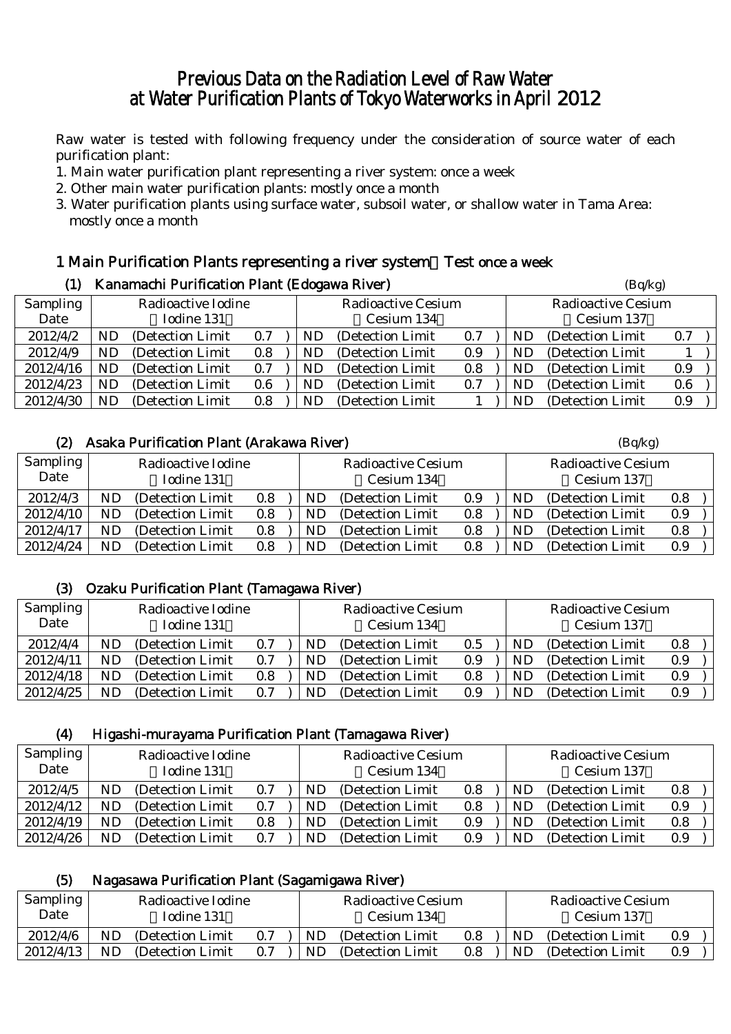# Previous Data on the Radiation Level of Raw Water at Water Purification Plants of Tokyo Waterworks in April 2012

Raw water is tested with following frequency under the consideration of source water of each purification plant:

- 1. Main water purification plant representing a river system: once a week
- 2. Other main water purification plants: mostly once a month
- 3. Water purification plants using surface water, subsoil water, or shallow water in Tama Area: mostly once a month

#### 1 Main Purification Plants representing a river system:Test once a week (1) Kanamachi Purification Plant (Edogawa Piyar)  $(B_0/kg)$

| w<br>Kanamachi Furnication Fiant (Euogawa Kiver) |                    |                   |     |            |                           |     |                        | (DQ/Kg)                   |     |  |
|--------------------------------------------------|--------------------|-------------------|-----|------------|---------------------------|-----|------------------------|---------------------------|-----|--|
| <b>Sampling</b>                                  | Radioactive Iodine |                   |     |            | <b>Radioactive Cesium</b> |     |                        | <b>Radioactive Cesium</b> |     |  |
| Date                                             |                    | Iodine 131        |     | Cesium 134 |                           |     | Cesium 137             |                           |     |  |
| 2012/4/2                                         | ND                 | (Detection Limit) | 0.7 | ND         | (Detection Limit)         | 0.7 | ND                     | (Detection Limit)         | 0.7 |  |
| 2012/4/9                                         | ND                 | (Detection Limit) | 0.8 | ND         | (Detection Limit)         | 0.9 | ND                     | (Detection Limit)         |     |  |
| 2012/4/16                                        | ND                 | (Detection Limit) | 0.7 | ND         | (Detection Limit)         | 0.8 | $\mathbf{N}\mathbf{D}$ | (Detection Limit)         | 0.9 |  |
| 2012/4/23                                        | ND                 | (Detection Limit) | 0.6 | ND         | (Detection Limit)         | 0.7 | ND                     | (Detection Limit)         | 0.6 |  |
| 2012/4/30                                        | ND                 | (Detection Limit) | 0.8 | ND.        | (Detection Limit)         |     | $\mathbf{N}\mathbf{D}$ | (Detection Limit)         | 0.9 |  |

## (2) Asaka Purification Plant (Arakawa River) (Bq/kg)

| Sampling  | Radioactive Iodine |                   |     | <b>Radioactive Cesium</b> |                   |     | <b>Radioactive Cesium</b> |    |                   |     |  |
|-----------|--------------------|-------------------|-----|---------------------------|-------------------|-----|---------------------------|----|-------------------|-----|--|
| Date      |                    | Iodine 131        |     |                           | Cesium 134        |     |                           |    | Cesium 137        |     |  |
| 2012/4/3  | ND                 | (Detection Limit) | 0.8 | ND                        | (Detection Limit) | 0.9 |                           | ND | (Detection Limit) | 0.8 |  |
| 2012/4/10 | ND                 | (Detection Limit) | 0.8 | ND                        | (Detection Limit) | 0.8 |                           | ND | (Detection Limit) | 0.9 |  |
| 2012/4/17 | ND.                | (Detection Limit) | 0.8 | ND                        | (Detection Limit) | 0.8 |                           | ND | (Detection Limit) | 0.8 |  |
| 2012/4/24 | ND                 | (Detection Limit) | 0.8 | ND                        | (Detection Limit) | 0.8 |                           | ND | (Detection Limit  | 0.9 |  |

### (3) Ozaku Purification Plant (Tamagawa River)

| Sampling<br>Date | Radioactive Iodine<br>Iodine 131 |                   |     | Radioactive Cesium<br>Cesium 134 |                   |     | Radioactive Cesium<br>Cesium 137 |                   |     |
|------------------|----------------------------------|-------------------|-----|----------------------------------|-------------------|-----|----------------------------------|-------------------|-----|
| 2012/4/4         |                                  | (Detection Limit) | 0.7 | ND                               | (Detection Limit) | 0.5 | ND                               | (Detection Limit) | 0.8 |
| 2012/4/11        | ND                               | (Detection Limit) | 0.7 | ND                               | (Detection Limit) | 0.9 | ND                               | (Detection Limit) | 0.9 |
| 2012/4/18        | ND                               | (Detection Limit) | 0.8 | ND                               | (Detection Limit) | 0.8 | ND                               | (Detection Limit) | 0.9 |
| 2012/4/25        | ND                               | (Detection Limit) | 0.7 | ND                               | (Detection Limit) | 0.9 | ND                               | (Detection Limit) | 0.9 |

#### (4) Higashi-murayama Purification Plant (Tamagawa River)

| <b>Sampling</b> | Radioactive Iodine |                   |           |            | Radioactive Cesium |     |            | <b>Radioactive Cesium</b> |         |  |
|-----------------|--------------------|-------------------|-----------|------------|--------------------|-----|------------|---------------------------|---------|--|
| Date            |                    | Iodine 131        |           | Cesium 134 |                    |     | Cesium 137 |                           |         |  |
| 2012/4/5        | ND                 | (Detection Limit) | 0.7       | ND         | (Detection Limit)  | 0.8 | ND         | (Detection Limit)         | $0.8\,$ |  |
| 2012/4/12       | ND                 | (Detection Limit) | $\rm 0.7$ | ND         | (Detection Limit)  | 0.8 | ND.        | (Detection Limit)         | 0.9     |  |
| 2012/4/19       | ND                 | (Detection Limit) | 0.8       | ND         | (Detection Limit)  | 0.9 | ND         | (Detection Limit)         | 0.8     |  |
| 2012/4/26       | ND                 | (Detection Limit) | 0.7       | ND         | (Detection Limit)  | 0.9 | ND         | (Detection Limit)         | $0.9\,$ |  |

#### (5) Nagasawa Purification Plant (Sagamigawa River)

| <b>Sampling</b> | Radioactive Iodine |                   |     | Radioactive Cesium |                   |     | Radioactive Cesium |                   |     |
|-----------------|--------------------|-------------------|-----|--------------------|-------------------|-----|--------------------|-------------------|-----|
| Date            |                    | Iodine 131        |     | Cesium 134         |                   |     | Cesium 137         |                   |     |
| 2012/4/6        | ND                 | (Detection Limit) | 0.7 | ND                 | (Detection Limit) | 0.8 | ND                 | (Detection Limit) | 0.9 |
| 2012/4/13       | ND                 | (Detection Limit  | 0.7 | ND                 | (Detection Limit) | 0.8 | ND                 | (Detection Limit) | 0.9 |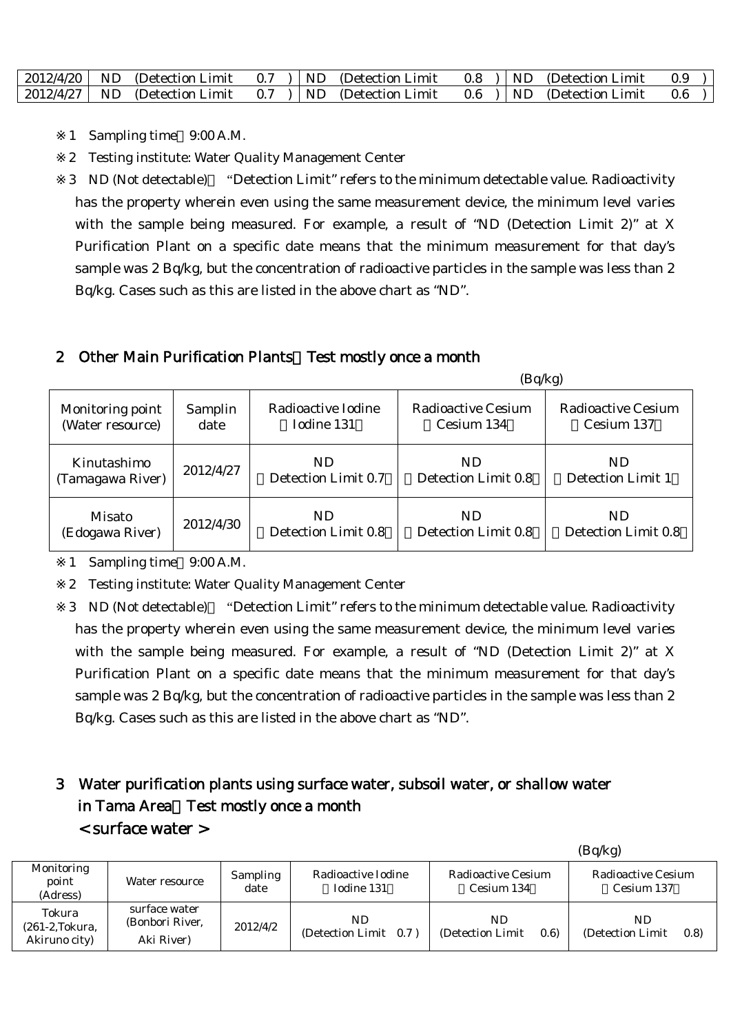|  | $\vert$ 2012/4/20 $\vert$ ND (Detection Limit | 0.7 |  | ND (Detection Limit) | $0.8$ ) | ND - | (Detection Limit) |  |
|--|-----------------------------------------------|-----|--|----------------------|---------|------|-------------------|--|
|  | $\vert$ 2012/4/27 $\vert$ ND (Detection Limit | 0.7 |  | ND (Detection Limit) | $0.6$ ) | ND - | (Detection Limit) |  |

- 1 Sampling time 9:00 A.M.
- 2 Testing institute: Water Quality Management Center

3 ND (Not detectable) "Detection Limit" refers to the minimum detectable value. Radioactivity has the property wherein even using the same measurement device, the minimum level varies with the sample being measured. For example, a result of "ND (Detection Limit 2)" at X Purification Plant on a specific date means that the minimum measurement for that day's sample was 2 Bq/kg, but the concentration of radioactive particles in the sample was less than 2 Bq/kg. Cases such as this are listed in the above chart as "ND".

### 2 Other Main Purification Plants Test mostly once a month

|                  |           |                     | (Bq/kg)             |                     |
|------------------|-----------|---------------------|---------------------|---------------------|
| Monitoring point | Samplin   | Radioactive Iodine  | Radioactive Cesium  | Radioactive Cesium  |
| (Water resource) | date      | Iodine 131          | Cesium 134          | Cesium 137          |
| Kinutashimo      | 2012/4/27 | ND.                 | ND.                 | ND.                 |
| (Tamagawa River) |           | Detection Limit 0.7 | Detection Limit 0.8 | Detection Limit 1   |
| Misato           | 2012/4/30 | ND.                 | ND.                 | ND.                 |
| (Edogawa River)  |           | Detection Limit 0.8 | Detection Limit 0.8 | Detection Limit 0.8 |

1 Sampling time 9:00 A.M.

2 Testing institute: Water Quality Management Center

3 ND (Not detectable) "Detection Limit" refers to the minimum detectable value. Radioactivity has the property wherein even using the same measurement device, the minimum level varies with the sample being measured. For example, a result of "ND (Detection Limit 2)" at X Purification Plant on a specific date means that the minimum measurement for that day's sample was 2 Bq/kg, but the concentration of radioactive particles in the sample was less than 2 Bq/kg. Cases such as this are listed in the above chart as "ND".

# 3 Water purification plants using surface water, subsoil water, or shallow water in Tama Area Test mostly once a month < surface water >

|                                                     |                                                |                  |                                  |                                  | (Bq/kg)                          |
|-----------------------------------------------------|------------------------------------------------|------------------|----------------------------------|----------------------------------|----------------------------------|
| Monitoring<br>point<br>(Adress)                     | Water resource                                 | Sampling<br>date | Radioactive Iodine<br>Iodine 131 | Radioactive Cesium<br>Cesium 134 | Radioactive Cesium<br>Cesium 137 |
| Tokura<br>$(261-2, \text{Tokura})$<br>Akiruno city) | surface water<br>(Bonbori River,<br>Aki River) | 2012/4/2         | ND.<br>(Detection Limit 0.7)     | ND<br>(Detection Limit)<br>(0.6) | ND<br>(Detection Limit)<br>(0.8) |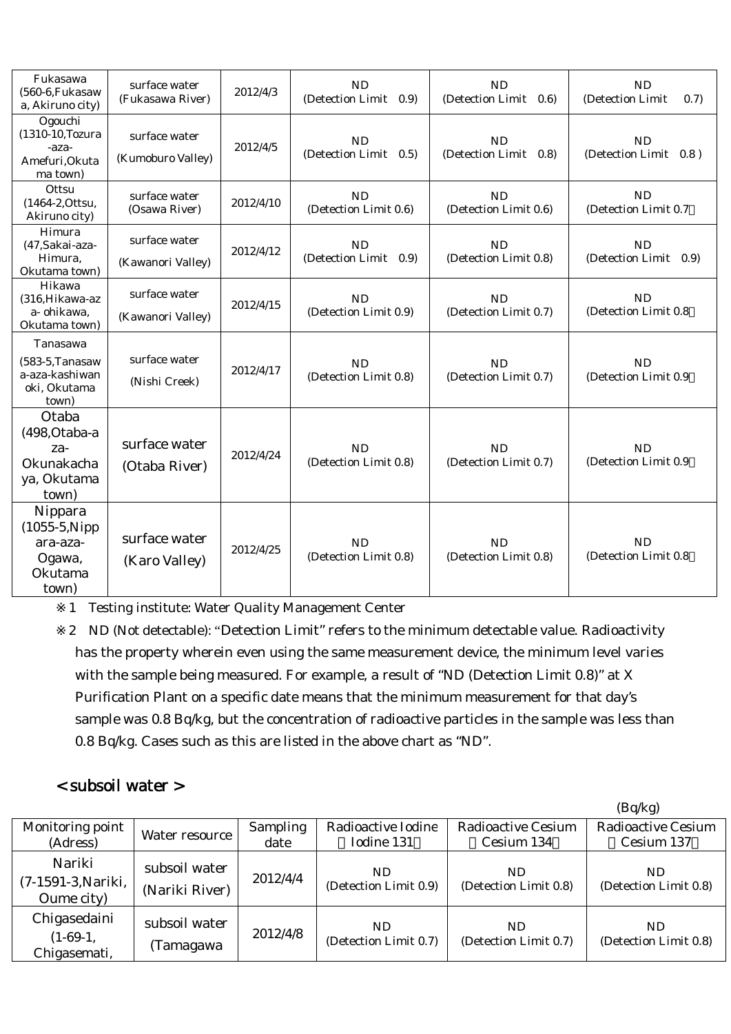| Fukasawa<br>$(560-6)$ , Fukasaw<br>a, Akiruno city)                        | surface water<br>(Fukasawa River)  | 2012/4/3  | <b>ND</b><br>(Detection Limit<br>(0.9) | <b>ND</b><br>(Detection Limit<br>(0.6) | <b>ND</b><br>(Detection Limit<br>(0.7) |
|----------------------------------------------------------------------------|------------------------------------|-----------|----------------------------------------|----------------------------------------|----------------------------------------|
| Ogouchi<br>(1310-10, Tozura<br>-aza-<br>Amefuri, Okuta<br>ma town)         | surface water<br>(Kumoburo Valley) | 2012/4/5  | <b>ND</b><br>(Detection Limit 0.5)     | <b>ND</b><br>(Detection Limit 0.8)     | <b>ND</b><br>(Detection Limit 0.8)     |
| Ottsu<br>(1464-2, Ottsu,<br>Akiruno city)                                  | surface water<br>(Osawa River)     | 2012/4/10 | ND<br>(Detection Limit 0.6)            | <b>ND</b><br>(Detection Limit 0.6)     | <b>ND</b><br>(Detection Limit 0.7)     |
| Himura<br>(47, Sakai-aza-<br>Himura,<br>Okutama town)                      | surface water<br>(Kawanori Valley) | 2012/4/12 | <b>ND</b><br>(Detection Limit 0.9)     | <b>ND</b><br>(Detection Limit 0.8)     | <b>ND</b><br>(Detection Limit 0.9)     |
| Hikawa<br>(316, Hikawa-az<br>a- ohikawa,<br>Okutama town)                  | surface water<br>(Kawanori Valley) | 2012/4/15 | <b>ND</b><br>(Detection Limit 0.9)     | <b>ND</b><br>(Detection Limit 0.7)     | <b>ND</b><br>(Detection Limit 0.8)     |
| Tanasawa<br>$(583-5)$ . Tanasaw<br>a-aza-kashiwan<br>oki, Okutama<br>town) | surface water<br>(Nishi Creek)     | 2012/4/17 | ND<br>(Detection Limit 0.8)            | ND<br>(Detection Limit 0.7)            | <b>ND</b><br>(Detection Limit 0.9      |
| Otaba<br>(498, Otaba-a<br>za-<br>Okunakacha<br>ya, Okutama<br>town)        | surface water<br>(Otaba River)     | 2012/4/24 | ND<br>(Detection Limit 0.8)            | ND<br>(Detection Limit 0.7)            | <b>ND</b><br>(Detection Limit 0.9      |
| Nippara<br>$(1055-5)$ . Nipp<br>ara-aza-<br>Ogawa,<br>Okutama<br>town)     | surface water<br>(Karo Valley)     | 2012/4/25 | <b>ND</b><br>(Detection Limit 0.8)     | ND<br>(Detection Limit 0.8)            | ND<br>(Detection Limit 0.8)            |

1 Testing institute: Water Quality Management Center

2 ND (Not detectable): "Detection Limit" refers to the minimum detectable value. Radioactivity has the property wherein even using the same measurement device, the minimum level varies with the sample being measured. For example, a result of "ND (Detection Limit 0.8)" at X Purification Plant on a specific date means that the minimum measurement for that day's sample was 0.8 Bq/kg, but the concentration of radioactive particles in the sample was less than 0.8 Bq/kg. Cases such as this are listed in the above chart as "ND".

## < subsoil water >

|                                            |                                 |                  |                                  |                                         | (Bq/kg)                                 |
|--------------------------------------------|---------------------------------|------------------|----------------------------------|-----------------------------------------|-----------------------------------------|
| Monitoring point<br>(Adress)               | Water resource                  | Sampling<br>date | Radioactive Iodine<br>Iodine 131 | <b>Radioactive Cesium</b><br>Cesium 134 | <b>Radioactive Cesium</b><br>Cesium 137 |
| Nariki<br>(7-1591-3, Nariki,<br>Oume city) | subsoil water<br>(Nariki River) | 2012/4/4         | ND.<br>(Detection Limit 0.9)     | ND.<br>(Detection Limit 0.8)            | ND.<br>(Detection Limit 0.8)            |
| Chigasedaini<br>$(1-69-1,$<br>Chigasemati, | subsoil water<br>(Tamagawa      | 2012/4/8         | ND<br>(Detection Limit 0.7)      | ND.<br>(Detection Limit 0.7)            | ND<br>(Detection Limit 0.8)             |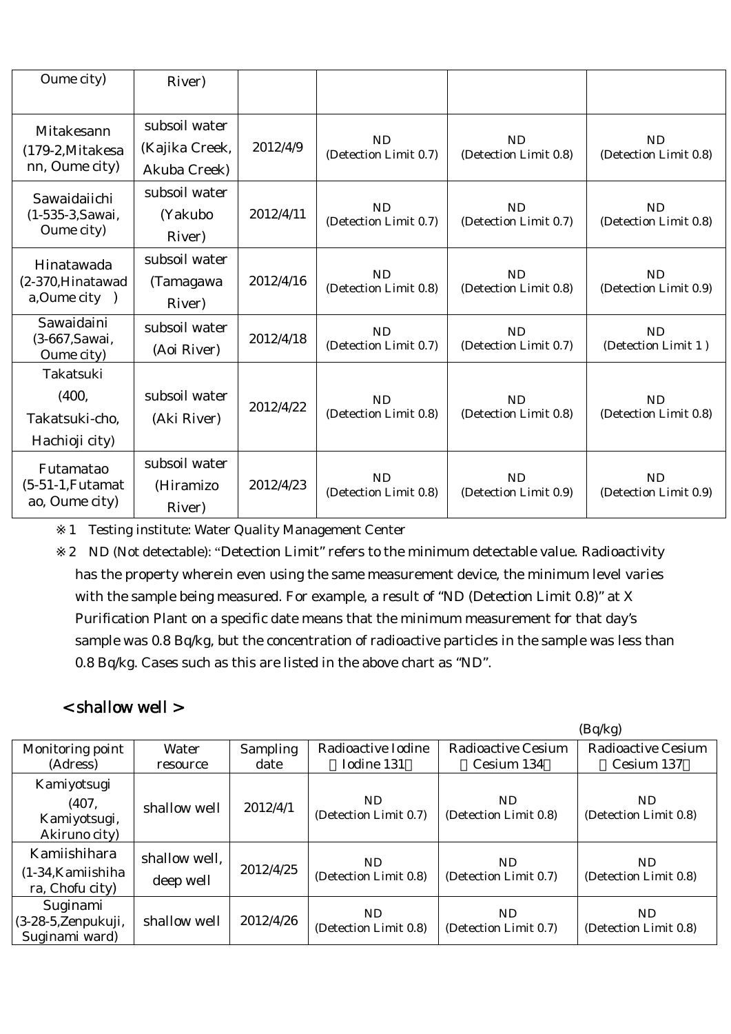| Oume city)                                             | River)                                          |           |                                    |                                    |                                    |
|--------------------------------------------------------|-------------------------------------------------|-----------|------------------------------------|------------------------------------|------------------------------------|
| Mitakesann<br>(179-2, Mitakesa<br>nn, Oume city)       | subsoil water<br>(Kajika Creek,<br>Akuba Creek) | 2012/4/9  | <b>ND</b><br>(Detection Limit 0.7) | <b>ND</b><br>(Detection Limit 0.8) | <b>ND</b><br>(Detection Limit 0.8) |
| Sawaidaiichi<br>(1-535-3, Sawai,<br>Oume city)         | subsoil water<br>(Yakubo<br>River)              | 2012/4/11 | <b>ND</b><br>(Detection Limit 0.7) | <b>ND</b><br>(Detection Limit 0.7) | <b>ND</b><br>(Detection Limit 0.8) |
| Hinatawada<br>(2-370, Hinatawad<br>$a, O$ ume city $)$ | subsoil water<br>(Tamagawa<br>River)            | 2012/4/16 | <b>ND</b><br>(Detection Limit 0.8) | <b>ND</b><br>(Detection Limit 0.8) | <b>ND</b><br>(Detection Limit 0.9) |
| Sawaidaini<br>(3-667, Sawai,<br>Oume city)             | subsoil water<br>(Aoi River)                    | 2012/4/18 | <b>ND</b><br>(Detection Limit 0.7) | <b>ND</b><br>(Detection Limit 0.7) | <b>ND</b><br>(Detection Limit 1)   |
| Takatsuki<br>(400,<br>Takatsuki-cho,<br>Hachioji city) | subsoil water<br>(Aki River)                    | 2012/4/22 | ND<br>(Detection Limit 0.8)        | <b>ND</b><br>(Detection Limit 0.8) | <b>ND</b><br>(Detection Limit 0.8) |
| Futamatao<br>$(5-51-1,$ Futamat<br>ao, Oume city)      | subsoil water<br>(Hiramizo<br>River)            | 2012/4/23 | <b>ND</b><br>(Detection Limit 0.8) | <b>ND</b><br>(Detection Limit 0.9) | <b>ND</b><br>(Detection Limit 0.9) |

1 Testing institute: Water Quality Management Center

2 ND (Not detectable): "Detection Limit" refers to the minimum detectable value. Radioactivity has the property wherein even using the same measurement device, the minimum level varies with the sample being measured. For example, a result of "ND (Detection Limit 0.8)" at X Purification Plant on a specific date means that the minimum measurement for that day's sample was 0.8 Bq/kg, but the concentration of radioactive particles in the sample was less than 0.8 Bq/kg. Cases such as this are listed in the above chart as "ND".

# < shallow well >

|                                                        |                            |                 |                              |                              | (Bq/kg)                      |
|--------------------------------------------------------|----------------------------|-----------------|------------------------------|------------------------------|------------------------------|
| Monitoring point                                       | Water                      | <b>Sampling</b> | Radioactive Iodine           | <b>Radioactive Cesium</b>    | Radioactive Cesium           |
| (Adress)                                               | resource                   | date            | Iodine 131                   | Cesium 134                   | Cesium 137                   |
| Kamiyotsugi<br>(407,<br>Kamiyotsugi,<br>Akiruno city)  | shallow well               | 2012/4/1        | ND.<br>(Detection Limit 0.7) | ND.<br>(Detection Limit 0.8) | ND.<br>(Detection Limit 0.8) |
| Kamiishihara<br>$(1-34)$ Kamiishiha<br>ra, Chofu city) | shallow well.<br>deep well | 2012/4/25       | ND.<br>(Detection Limit 0.8) | ND.<br>(Detection Limit 0.7) | ND.<br>(Detection Limit 0.8) |
| Suginami<br>(3-28-5, Zenpukuji,<br>Suginami ward)      | shallow well               | 2012/4/26       | ND.<br>(Detection Limit 0.8) | ND.<br>(Detection Limit 0.7) | ND.<br>(Detection Limit 0.8) |